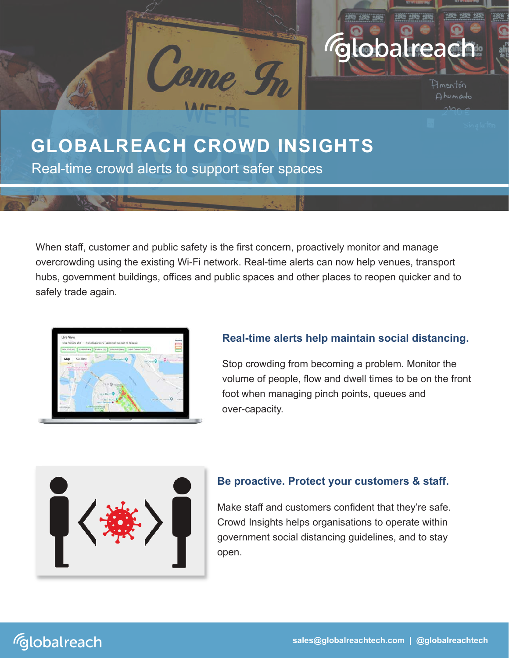

Real-time crowd alerts to support safer spaces

When staff, customer and public safety is the first concern, proactively monitor and manage overcrowding using the existing Wi-Fi network. Real-time alerts can now help venues, transport hubs, government buildings, offices and public spaces and other places to reopen quicker and to safely trade again.



## **Real-time alerts help maintain social distancing.**

Stop crowding from becoming a problem. Monitor the volume of people, flow and dwell times to be on the front foot when managing pinch points, queues and over-capacity.



## **Be proactive. Protect your customers & staff.**

Make staff and customers confident that they're safe. Crowd Insights helps organisations to operate within government social distancing guidelines, and to stay open.